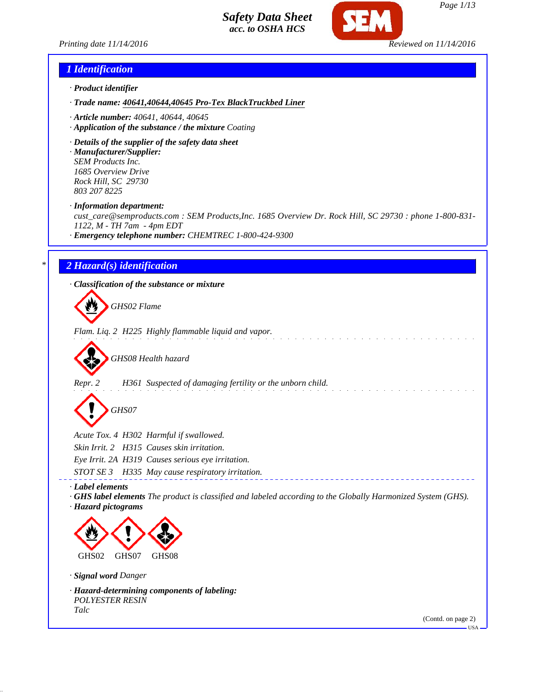

*Printing date 11/14/2016 Reviewed on 11/14/2016*



*Page 1/13*

## *1 Identification*

- *· Product identifier*
- *· Trade name: 40641,40644,40645 Pro-Tex BlackTruckbed Liner*
- *· Article number: 40641, 40644, 40645*
- *· Application of the substance / the mixture Coating*
- *· Details of the supplier of the safety data sheet*
- *· Manufacturer/Supplier: SEM Products Inc. 1685 Overview Drive Rock Hill, SC 29730 803 207 8225*

*· Information department:*

*cust\_care@semproducts.com : SEM Products,Inc. 1685 Overview Dr. Rock Hill, SC 29730 : phone 1-800-831- 1122, M - TH 7am - 4pm EDT*

*· Emergency telephone number: CHEMTREC 1-800-424-9300*

## *\* 2 Hazard(s) identification*

*· Classification of the substance or mixture*

*GHS02 Flame*

*Flam. Liq. 2 H225 Highly flammable liquid and vapor.*

*GHS08 Health hazard*

*Repr. 2 H361 Suspected of damaging fertility or the unborn child.*

*GHS07*

*Acute Tox. 4 H302 Harmful if swallowed.*

*Skin Irrit. 2 H315 Causes skin irritation.*

*Eye Irrit. 2A H319 Causes serious eye irritation.*

*STOT SE 3 H335 May cause respiratory irritation.*

*· Label elements*

*· GHS label elements The product is classified and labeled according to the Globally Harmonized System (GHS). · Hazard pictograms*



*· Signal word Danger*

*· Hazard-determining components of labeling: POLYESTER RESIN Talc*

(Contd. on page 2)

 $-HSA$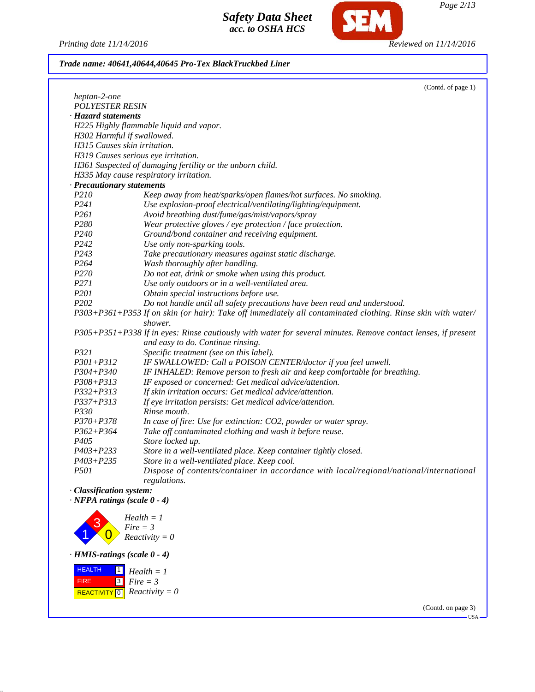*Printing date 11/14/2016 Reviewed on 11/14/2016*

**SEM** 

*Trade name: 40641,40644,40645 Pro-Tex BlackTruckbed Liner*

|                                       | (Contd. of page 1)                                                                                            |
|---------------------------------------|---------------------------------------------------------------------------------------------------------------|
| heptan-2-one                          |                                                                                                               |
| <b>POLYESTER RESIN</b>                |                                                                                                               |
| · Hazard statements                   |                                                                                                               |
|                                       | H225 Highly flammable liquid and vapor.                                                                       |
| H302 Harmful if swallowed.            |                                                                                                               |
| H315 Causes skin irritation.          |                                                                                                               |
|                                       | H319 Causes serious eye irritation.                                                                           |
|                                       | H361 Suspected of damaging fertility or the unborn child.                                                     |
|                                       | H335 May cause respiratory irritation.                                                                        |
| · Precautionary statements            |                                                                                                               |
| P210                                  | Keep away from heat/sparks/open flames/hot surfaces. No smoking.                                              |
| P241                                  | Use explosion-proof electrical/ventilating/lighting/equipment.                                                |
| P <sub>261</sub>                      | Avoid breathing dust/fume/gas/mist/vapors/spray                                                               |
| P280                                  | Wear protective gloves / eye protection / face protection.                                                    |
| P <sub>240</sub>                      | Ground/bond container and receiving equipment.                                                                |
| P242                                  | Use only non-sparking tools.                                                                                  |
| P <sub>243</sub>                      | Take precautionary measures against static discharge.                                                         |
| P264                                  | Wash thoroughly after handling.                                                                               |
| P270                                  | Do not eat, drink or smoke when using this product.                                                           |
| P271                                  | Use only outdoors or in a well-ventilated area.                                                               |
| P201                                  | Obtain special instructions before use.                                                                       |
| P <sub>202</sub>                      | Do not handle until all safety precautions have been read and understood.                                     |
|                                       | P303+P361+P353 If on skin (or hair): Take off immediately all contaminated clothing. Rinse skin with water/   |
|                                       | shower.                                                                                                       |
|                                       | P305+P351+P338 If in eyes: Rinse cautiously with water for several minutes. Remove contact lenses, if present |
|                                       | and easy to do. Continue rinsing.                                                                             |
| P321                                  | Specific treatment (see on this label).                                                                       |
| $P301 + P312$                         | IF SWALLOWED: Call a POISON CENTER/doctor if you feel unwell.                                                 |
| P304+P340                             | IF INHALED: Remove person to fresh air and keep comfortable for breathing.                                    |
| $P308 + P313$                         | IF exposed or concerned: Get medical advice/attention.                                                        |
| $P332 + P313$                         | If skin irritation occurs: Get medical advice/attention.                                                      |
| $P337 + P313$                         | If eye irritation persists: Get medical advice/attention.                                                     |
| P330                                  | Rinse mouth.                                                                                                  |
| $P370 + P378$                         | In case of fire: Use for extinction: CO2, powder or water spray.                                              |
| $P362 + P364$                         | Take off contaminated clothing and wash it before reuse.                                                      |
| P405                                  | Store locked up.                                                                                              |
| $P403 + P233$                         | Store in a well-ventilated place. Keep container tightly closed.                                              |
| $P403 + P235$                         | Store in a well-ventilated place. Keep cool.                                                                  |
| P501                                  | Dispose of contents/container in accordance with local/regional/national/international<br>regulations.        |
| · Classification system:              |                                                                                                               |
| $\cdot$ NFPA ratings (scale $0 - 4$ ) |                                                                                                               |
|                                       |                                                                                                               |
|                                       | $Health = 1$                                                                                                  |
|                                       | $Fire = 3$                                                                                                    |
|                                       | $Reactivity = 0$                                                                                              |
| $\cdot$ HMIS-ratings (scale $0 - 4$ ) |                                                                                                               |
| <b>HEALTH</b><br>$\mathbf{1}$         | $Health = 1$                                                                                                  |
| FIRE<br>l ג                           |                                                                                                               |

 FIRE  $\sqrt{\text{REACTIVITY[0]}$  Reactivity = 0 3 *Fire = 3*

> (Contd. on page 3) USA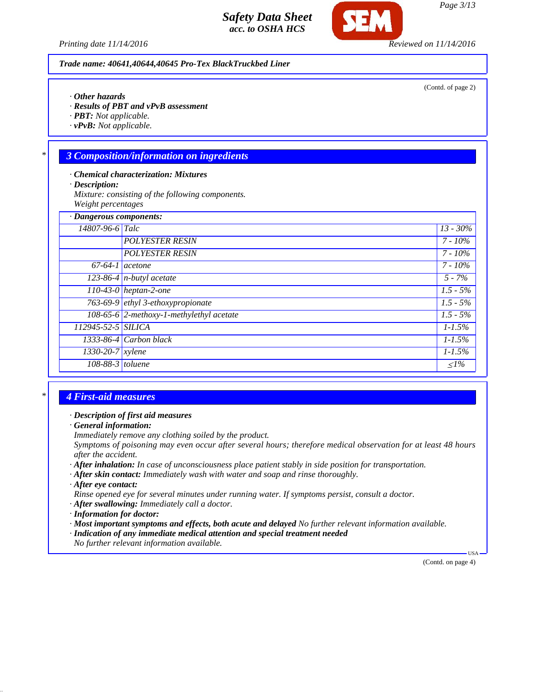*Printing date 11/14/2016 Reviewed on 11/14/2016*

*Trade name: 40641,40644,40645 Pro-Tex BlackTruckbed Liner*

- *· Other hazards*
- *· Results of PBT and vPvB assessment*
- *· PBT: Not applicable.*
- *· vPvB: Not applicable.*

## *\* 3 Composition/information on ingredients*

- *· Chemical characterization: Mixtures*
- *· Description:*
- *Mixture: consisting of the following components. Weight percentages*

| · Dangerous components:          |                                          |                       |
|----------------------------------|------------------------------------------|-----------------------|
| 14807-96-6 Talc                  |                                          | $13 - 30\%$           |
|                                  | <b>POLYESTER RESIN</b>                   | $7 - 10\%$            |
|                                  | <b>POLYESTER RESIN</b>                   | $7 - 10\%$            |
| $67-64-1$ acetone                |                                          | $7 - 10\%$            |
|                                  | 123-86-4 $n$ -butyl acetate              | $5 - 7\%$             |
|                                  | $\overline{110-43-0}$ heptan-2-one       | $1.5 - 5\%$           |
|                                  | 763-69-9 ethyl 3-ethoxypropionate        | $\overline{1.5}$ - 5% |
|                                  | 108-65-6 2-methoxy-1-methylethyl acetate | $1.5 - 5\%$           |
| 112945-52-5 SILICA               |                                          | $1 - 1.5\%$           |
|                                  | 1333-86-4 Carbon black                   | $1 - 1.5\%$           |
| $\overline{1330}$ -20-7   xylene |                                          | $1 - 1.5\%$           |
| $108-88-3$ toluene               |                                          | $\leq l\%$            |

# *\* 4 First-aid measures*

#### *· Description of first aid measures*

*· General information:*

*Immediately remove any clothing soiled by the product.*

*Symptoms of poisoning may even occur after several hours; therefore medical observation for at least 48 hours after the accident.*

- *· After inhalation: In case of unconsciousness place patient stably in side position for transportation.*
- *· After skin contact: Immediately wash with water and soap and rinse thoroughly.*
- *· After eye contact:*

*Rinse opened eye for several minutes under running water. If symptoms persist, consult a doctor.*

- *· After swallowing: Immediately call a doctor.*
- *· Information for doctor:*
- *· Most important symptoms and effects, both acute and delayed No further relevant information available.*
- *· Indication of any immediate medical attention and special treatment needed*

*No further relevant information available.*

(Contd. on page 4)

USA

(Contd. of page 2)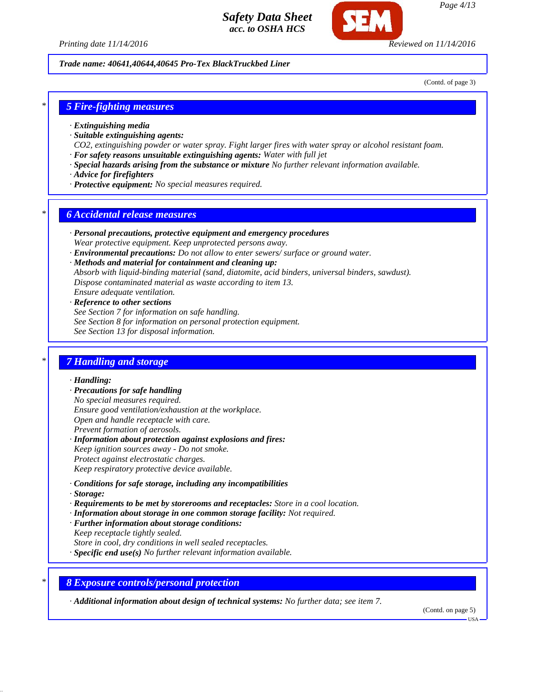

*Page 4/13*

*Trade name: 40641,40644,40645 Pro-Tex BlackTruckbed Liner*

(Contd. of page 3)

#### *\* 5 Fire-fighting measures*

- *· Extinguishing media*
- *· Suitable extinguishing agents:*
- *CO2, extinguishing powder or water spray. Fight larger fires with water spray or alcohol resistant foam.*
- *· For safety reasons unsuitable extinguishing agents: Water with full jet*
- *· Special hazards arising from the substance or mixture No further relevant information available.*
- *· Advice for firefighters*
- *· Protective equipment: No special measures required.*

#### *\* 6 Accidental release measures*

- *· Personal precautions, protective equipment and emergency procedures Wear protective equipment. Keep unprotected persons away.*
- *· Environmental precautions: Do not allow to enter sewers/ surface or ground water.*
- *· Methods and material for containment and cleaning up: Absorb with liquid-binding material (sand, diatomite, acid binders, universal binders, sawdust). Dispose contaminated material as waste according to item 13. Ensure adequate ventilation.*
- *· Reference to other sections See Section 7 for information on safe handling. See Section 8 for information on personal protection equipment. See Section 13 for disposal information.*

## *\* 7 Handling and storage*

#### *· Handling:*

- *· Precautions for safe handling No special measures required. Ensure good ventilation/exhaustion at the workplace. Open and handle receptacle with care. Prevent formation of aerosols.*
- *· Information about protection against explosions and fires: Keep ignition sources away - Do not smoke. Protect against electrostatic charges. Keep respiratory protective device available.*
- *· Conditions for safe storage, including any incompatibilities*
- *· Storage:*
- *· Requirements to be met by storerooms and receptacles: Store in a cool location.*
- *· Information about storage in one common storage facility: Not required.*
- *· Further information about storage conditions: Keep receptacle tightly sealed. Store in cool, dry conditions in well sealed receptacles.*
- *· Specific end use(s) No further relevant information available.*
- *\* 8 Exposure controls/personal protection*

*· Additional information about design of technical systems: No further data; see item 7.*

(Contd. on page 5)

USA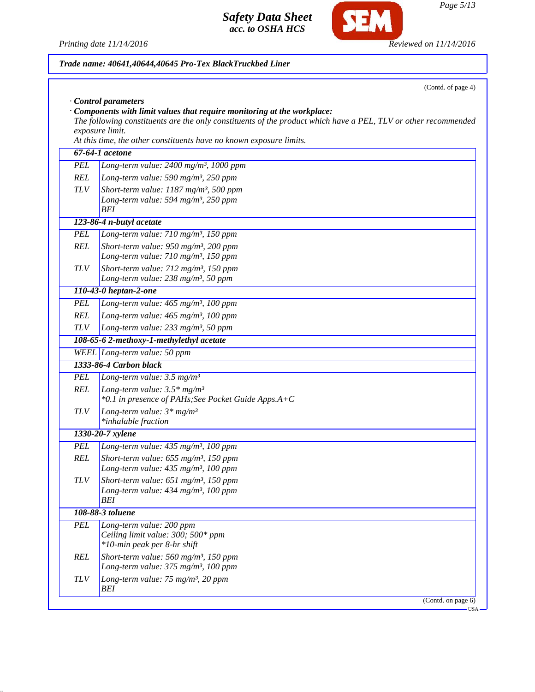Printing date 11/14/2016 **Reviewed on 11/14/2016** 

SEM

|            | Trade name: 40641,40644,40645 Pro-Tex BlackTruckbed Liner                                                                                                                                                                                                                          |  |  |  |
|------------|------------------------------------------------------------------------------------------------------------------------------------------------------------------------------------------------------------------------------------------------------------------------------------|--|--|--|
|            | (Contd. of page 4)<br>Control parameters                                                                                                                                                                                                                                           |  |  |  |
|            | Components with limit values that require monitoring at the workplace:<br>The following constituents are the only constituents of the product which have a PEL, TLV or other recommended<br>exposure limit.<br>At this time, the other constituents have no known exposure limits. |  |  |  |
|            | 67-64-1 acetone                                                                                                                                                                                                                                                                    |  |  |  |
| <b>PEL</b> | Long-term value: $2400$ mg/m <sup>3</sup> , 1000 ppm                                                                                                                                                                                                                               |  |  |  |
| <b>REL</b> | Long-term value: 590 mg/m <sup>3</sup> , 250 ppm                                                                                                                                                                                                                                   |  |  |  |
| <b>TLV</b> | Short-term value: $1187$ mg/m <sup>3</sup> , 500 ppm                                                                                                                                                                                                                               |  |  |  |
|            | Long-term value: 594 mg/m <sup>3</sup> , 250 ppm<br>BEI                                                                                                                                                                                                                            |  |  |  |
|            | 123-86-4 n-butyl acetate                                                                                                                                                                                                                                                           |  |  |  |
| <b>PEL</b> | Long-term value: 710 mg/m <sup>3</sup> , 150 ppm                                                                                                                                                                                                                                   |  |  |  |
| <b>REL</b> | Short-term value: $950$ mg/m <sup>3</sup> , 200 ppm                                                                                                                                                                                                                                |  |  |  |
|            | Long-term value: 710 mg/m <sup>3</sup> , 150 ppm                                                                                                                                                                                                                                   |  |  |  |
| <b>TLV</b> | Short-term value: 712 mg/m <sup>3</sup> , 150 ppm<br>Long-term value: $238$ mg/m <sup>3</sup> , 50 ppm                                                                                                                                                                             |  |  |  |
|            | 110-43-0 heptan-2-one                                                                                                                                                                                                                                                              |  |  |  |
| <b>PEL</b> | Long-term value: 465 mg/m <sup>3</sup> , 100 ppm                                                                                                                                                                                                                                   |  |  |  |
| <b>REL</b> | Long-term value: 465 mg/m <sup>3</sup> , 100 ppm                                                                                                                                                                                                                                   |  |  |  |
| <b>TLV</b> | Long-term value: 233 mg/m <sup>3</sup> , 50 ppm                                                                                                                                                                                                                                    |  |  |  |
|            | 108-65-6 2-methoxy-1-methylethyl acetate                                                                                                                                                                                                                                           |  |  |  |
|            | WEEL Long-term value: 50 ppm                                                                                                                                                                                                                                                       |  |  |  |
|            | 1333-86-4 Carbon black                                                                                                                                                                                                                                                             |  |  |  |
| <b>PEL</b> | Long-term value: $3.5 \text{ mg/m}^3$                                                                                                                                                                                                                                              |  |  |  |
| <b>REL</b> | Long-term value: $3.5*$ mg/m <sup>3</sup><br>*0.1 in presence of PAHs; See Pocket Guide Apps.A+C                                                                                                                                                                                   |  |  |  |
| <b>TLV</b> | Long-term value: $3*mg/m^3$<br>*inhalable fraction                                                                                                                                                                                                                                 |  |  |  |
|            | 1330-20-7 xylene                                                                                                                                                                                                                                                                   |  |  |  |
| PEL        | Long-term value: $435 \text{ mg/m}^3$ , 100 ppm                                                                                                                                                                                                                                    |  |  |  |
| <b>REL</b> | Short-term value: $655$ mg/m <sup>3</sup> , 150 ppm<br>Long-term value: 435 mg/m <sup>3</sup> , 100 ppm                                                                                                                                                                            |  |  |  |
| <b>TLV</b> | Short-term value: $651$ mg/m <sup>3</sup> , 150 ppm<br>Long-term value: 434 mg/m <sup>3</sup> , 100 ppm<br><b>BEI</b>                                                                                                                                                              |  |  |  |
|            | 108-88-3 toluene                                                                                                                                                                                                                                                                   |  |  |  |
| <b>PEL</b> | Long-term value: 200 ppm<br>Ceiling limit value: 300; 500* ppm<br>*10-min peak per 8-hr shift                                                                                                                                                                                      |  |  |  |
| <b>REL</b> | Short-term value: $560$ mg/m <sup>3</sup> , 150 ppm<br>Long-term value: 375 mg/m <sup>3</sup> , 100 ppm                                                                                                                                                                            |  |  |  |
| <b>TLV</b> | Long-term value: 75 mg/m <sup>3</sup> , 20 ppm<br>BEI                                                                                                                                                                                                                              |  |  |  |
|            | (Contd. on page 6)                                                                                                                                                                                                                                                                 |  |  |  |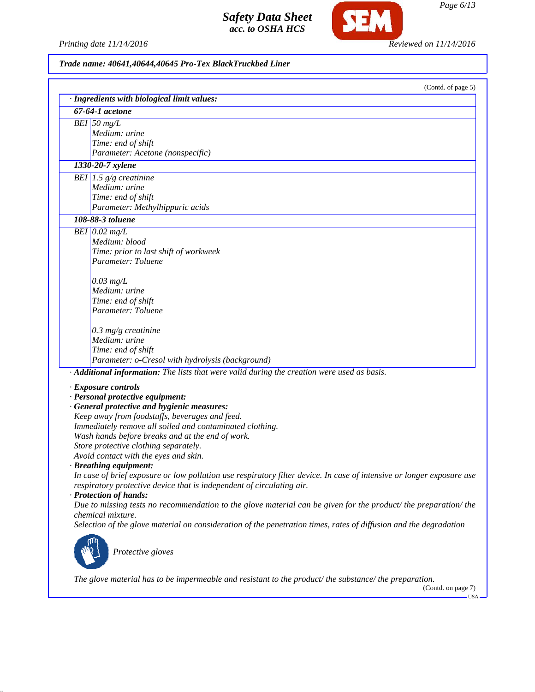*Printing date 11/14/2016 Reviewed on 11/14/2016*

SEM

# *Trade name: 40641,40644,40645 Pro-Tex BlackTruckbed Liner*

| (Contd. of page 5)<br>· Ingredients with biological limit values:                                                                                                                              |
|------------------------------------------------------------------------------------------------------------------------------------------------------------------------------------------------|
| 67-64-1 acetone                                                                                                                                                                                |
| $BEI$ 50 mg/L                                                                                                                                                                                  |
| Medium: urine                                                                                                                                                                                  |
| Time: end of shift                                                                                                                                                                             |
| Parameter: Acetone (nonspecific)                                                                                                                                                               |
| 1330-20-7 xylene                                                                                                                                                                               |
| BEI 1.5 $g/g$ creatinine                                                                                                                                                                       |
| Medium: urine                                                                                                                                                                                  |
| Time: end of shift                                                                                                                                                                             |
| Parameter: Methylhippuric acids                                                                                                                                                                |
| 108-88-3 toluene                                                                                                                                                                               |
| BEI $0.02$ mg/L                                                                                                                                                                                |
| Medium: blood                                                                                                                                                                                  |
| Time: prior to last shift of workweek                                                                                                                                                          |
| Parameter: Toluene                                                                                                                                                                             |
| $0.03$ mg/L                                                                                                                                                                                    |
| Medium: urine                                                                                                                                                                                  |
| Time: end of shift                                                                                                                                                                             |
| Parameter: Toluene                                                                                                                                                                             |
|                                                                                                                                                                                                |
| $0.3$ mg/g creatinine<br>Medium: urine                                                                                                                                                         |
|                                                                                                                                                                                                |
| Time: end of shift<br>Parameter: o-Cresol with hydrolysis (background)                                                                                                                         |
| · Additional information: The lists that were valid during the creation were used as basis.                                                                                                    |
|                                                                                                                                                                                                |
| · Exposure controls                                                                                                                                                                            |
| · Personal protective equipment:                                                                                                                                                               |
| · General protective and hygienic measures:                                                                                                                                                    |
| Keep away from foodstuffs, beverages and feed.                                                                                                                                                 |
| Immediately remove all soiled and contaminated clothing.                                                                                                                                       |
| Wash hands before breaks and at the end of work.                                                                                                                                               |
| Store protective clothing separately.<br>Avoid contact with the eyes and skin.                                                                                                                 |
|                                                                                                                                                                                                |
| · Breathing equipment:                                                                                                                                                                         |
| In case of brief exposure or low pollution use respiratory filter device. In case of intensive or longer exposure use<br>respiratory protective device that is independent of circulating air. |
| · Protection of hands:                                                                                                                                                                         |
| Due to missing tests no recommendation to the glove material can be given for the product/ the preparation/ the                                                                                |
| chemical mixture.                                                                                                                                                                              |
| Selection of the glove material on consideration of the penetration times, rates of diffusion and the degradation                                                                              |
|                                                                                                                                                                                                |
|                                                                                                                                                                                                |
| Protective gloves                                                                                                                                                                              |
|                                                                                                                                                                                                |
| The glove material has to be impermeable and resistant to the product/the substance/the preparation.                                                                                           |

*Page 6/13*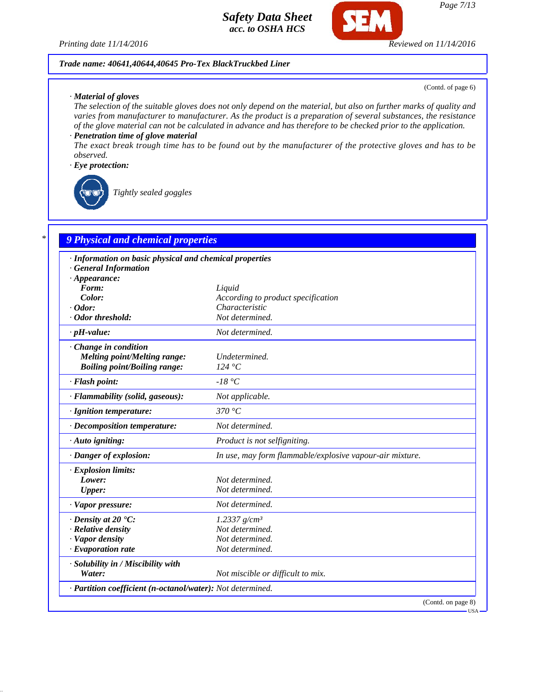

#### *Trade name: 40641,40644,40645 Pro-Tex BlackTruckbed Liner*

#### *· Material of gloves*

(Contd. of page 6)

*The selection of the suitable gloves does not only depend on the material, but also on further marks of quality and varies from manufacturer to manufacturer. As the product is a preparation of several substances, the resistance of the glove material can not be calculated in advance and has therefore to be checked prior to the application.*

## *· Penetration time of glove material*

*The exact break trough time has to be found out by the manufacturer of the protective gloves and has to be observed.*

#### *· Eye protection:*



*Tightly sealed goggles*

# *\* 9 Physical and chemical properties*

| · Information on basic physical and chemical properties    |                                                          |  |
|------------------------------------------------------------|----------------------------------------------------------|--|
| <b>General Information</b>                                 |                                                          |  |
| $\cdot$ Appearance:                                        |                                                          |  |
| Form:                                                      | Liquid                                                   |  |
| Color:                                                     | According to product specification                       |  |
| $\cdot$ Odor:                                              | Characteristic                                           |  |
| · Odor threshold:                                          | Not determined.                                          |  |
| $\cdot$ pH-value:                                          | Not determined.                                          |  |
| Change in condition                                        |                                                          |  |
| <b>Melting point/Melting range:</b>                        | Undetermined.                                            |  |
| <b>Boiling point/Boiling range:</b>                        | 124 °C                                                   |  |
| · Flash point:                                             | $-18\degree C$                                           |  |
| · Flammability (solid, gaseous):                           | Not applicable.                                          |  |
| · Ignition temperature:                                    | 370 °C                                                   |  |
| · Decomposition temperature:                               | Not determined.                                          |  |
| · Auto igniting:                                           | Product is not selfigniting.                             |  |
| · Danger of explosion:                                     | In use, may form flammable/explosive vapour-air mixture. |  |
| · Explosion limits:                                        |                                                          |  |
| Lower:                                                     | Not determined.                                          |  |
| <b>Upper:</b>                                              | Not determined.                                          |  |
| · Vapor pressure:                                          | Not determined.                                          |  |
| $\cdot$ Density at 20 $\cdot$ C:                           | 1.2337 $g/cm^3$                                          |  |
| · Relative density                                         | Not determined.                                          |  |
| · Vapor density                                            | Not determined.                                          |  |
| $\cdot$ Evaporation rate                                   | Not determined.                                          |  |
| · Solubility in / Miscibility with                         |                                                          |  |
| Water:                                                     | Not miscible or difficult to mix.                        |  |
| · Partition coefficient (n-octanol/water): Not determined. |                                                          |  |
|                                                            | (Contd. on page 8)                                       |  |

USA

*Page 7/13*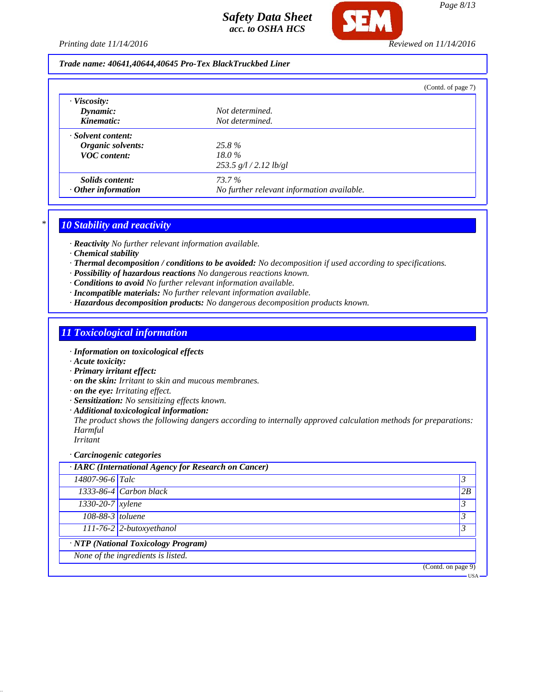*Printing date 11/14/2016 Reviewed on 11/14/2016*

#### *Trade name: 40641,40644,40645 Pro-Tex BlackTruckbed Liner*

|                           |                                            | (Contd. of page 7) |
|---------------------------|--------------------------------------------|--------------------|
| $\cdot$ Viscosity:        |                                            |                    |
| Dynamic:                  | Not determined.                            |                    |
| Kinematic:                | Not determined.                            |                    |
| · Solvent content:        |                                            |                    |
| Organic solvents:         | 25.8%                                      |                    |
| <b>VOC</b> content:       | $18.0\%$                                   |                    |
|                           | $253.5$ g/l $/2.12$ lb/gl                  |                    |
| Solids content:           | 73.7%                                      |                    |
| $\cdot$ Other information | No further relevant information available. |                    |

## *\* 10 Stability and reactivity*

*· Reactivity No further relevant information available.*

- *· Chemical stability*
- *· Thermal decomposition / conditions to be avoided: No decomposition if used according to specifications.*
- *· Possibility of hazardous reactions No dangerous reactions known.*

*· Conditions to avoid No further relevant information available.*

- *· Incompatible materials: No further relevant information available.*
- *· Hazardous decomposition products: No dangerous decomposition products known.*

## *11 Toxicological information*

- *· Information on toxicological effects*
- *· Acute toxicity:*
- *· Primary irritant effect:*
- *· on the skin: Irritant to skin and mucous membranes.*
- *· on the eye: Irritating effect.*
- *· Sensitization: No sensitizing effects known.*
- *· Additional toxicological information:*

*The product shows the following dangers according to internally approved calculation methods for preparations: Harmful*

*Irritant*

#### *· Carcinogenic categories*

| · IARC (International Agency for Research on Cancer) |                            |                |
|------------------------------------------------------|----------------------------|----------------|
| 14807-96-6 Talc                                      |                            | 3              |
|                                                      | $1333-86-4$ Carbon black   | 2B             |
| 1330-20-7 xylene                                     |                            | 3              |
| 108-88-3 toluene                                     |                            | $\mathfrak{Z}$ |
|                                                      | $111-76-2$ 2-butoxyethanol |                |
| $\overline{NTP(National Toxicology Program)}$        |                            |                |
| None of the ingredients is listed.                   |                            |                |
|                                                      | (Contd. on page 9)         |                |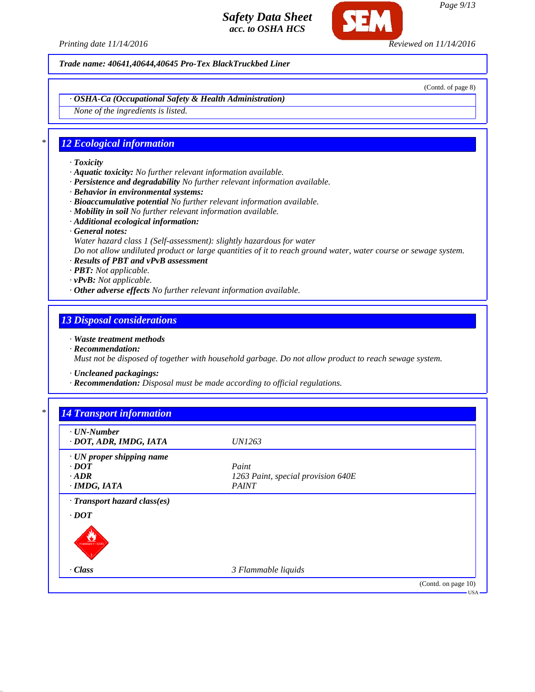

*Trade name: 40641,40644,40645 Pro-Tex BlackTruckbed Liner*

(Contd. of page 8)

*· OSHA-Ca (Occupational Safety & Health Administration)*

*None of the ingredients is listed.*

## *\* 12 Ecological information*

- *· Toxicity*
- *· Aquatic toxicity: No further relevant information available.*
- *· Persistence and degradability No further relevant information available.*
- *· Behavior in environmental systems:*
- *· Bioaccumulative potential No further relevant information available.*
- *· Mobility in soil No further relevant information available.*
- *· Additional ecological information:*
- *· General notes:*
- *Water hazard class 1 (Self-assessment): slightly hazardous for water*

*Do not allow undiluted product or large quantities of it to reach ground water, water course or sewage system.*

- *· Results of PBT and vPvB assessment*
- *· PBT: Not applicable.*
- *· vPvB: Not applicable.*
- *· Other adverse effects No further relevant information available.*

#### *13 Disposal considerations*

- *· Waste treatment methods*
- *· Recommendation:*

*Must not be disposed of together with household garbage. Do not allow product to reach sewage system.*

- *· Uncleaned packagings:*
- *· Recommendation: Disposal must be made according to official regulations.*

| $\cdot$ UN-Number<br>· DOT, ADR, IMDG, IATA | <i>UN1263</i>                      |  |
|---------------------------------------------|------------------------------------|--|
| · UN proper shipping name                   |                                    |  |
| $\cdot$ DOT                                 | Paint                              |  |
| $-ADR$                                      | 1263 Paint, special provision 640E |  |
| $\cdot$ IMDG, IATA                          | <b>PAINT</b>                       |  |
| · Transport hazard class(es)                |                                    |  |
| $\cdot$ DOT                                 |                                    |  |
| $\sum_{n \text{ number 1000}}$              |                                    |  |
|                                             |                                    |  |
| $\cdot$ Class                               | 3 Flammable liquids                |  |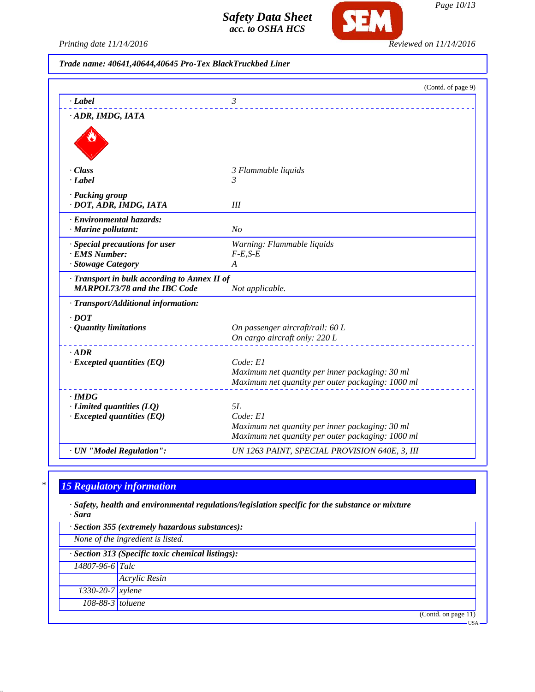

*Page 10/13*

*Printing date 11/14/2016 Reviewed on 11/14/2016*

*Trade name: 40641,40644,40645 Pro-Tex BlackTruckbed Liner*

|                                              | (Contd. of page 9)                                                                                   |
|----------------------------------------------|------------------------------------------------------------------------------------------------------|
| · Label                                      | 3                                                                                                    |
| · ADR, IMDG, IATA                            |                                                                                                      |
|                                              |                                                                                                      |
|                                              |                                                                                                      |
|                                              |                                                                                                      |
| · Class                                      | 3 Flammable liquids                                                                                  |
| · Label                                      | 3                                                                                                    |
| · Packing group                              |                                                                                                      |
| · DOT, ADR, IMDG, IATA                       | III                                                                                                  |
| · Environmental hazards:                     |                                                                                                      |
| · Marine pollutant:                          | No                                                                                                   |
| · Special precautions for user               | Warning: Flammable liquids                                                                           |
| · EMS Number:                                | $F-E,S-E$                                                                                            |
| · Stowage Category                           | A                                                                                                    |
| · Transport in bulk according to Annex II of |                                                                                                      |
| <b>MARPOL73/78 and the IBC Code</b>          | Not applicable.                                                                                      |
| · Transport/Additional information:          |                                                                                                      |
| $\cdot$ <i>DOT</i>                           |                                                                                                      |
| · Quantity limitations                       | On passenger aircraft/rail: 60 L                                                                     |
|                                              | On cargo aircraft only: 220 L                                                                        |
| $\cdot$ ADR                                  |                                                                                                      |
| $\cdot$ Excepted quantities (EQ)             | Code: El                                                                                             |
|                                              | Maximum net quantity per inner packaging: 30 ml                                                      |
|                                              | Maximum net quantity per outer packaging: 1000 ml                                                    |
| $\cdot$ IMDG                                 |                                                                                                      |
| $\cdot$ Limited quantities (LQ)              | 5L                                                                                                   |
| $\cdot$ Excepted quantities (EQ)             | Code: E1                                                                                             |
|                                              | Maximum net quantity per inner packaging: 30 ml<br>Maximum net quantity per outer packaging: 1000 ml |
|                                              |                                                                                                      |
| · UN "Model Regulation":                     | UN 1263 PAINT, SPECIAL PROVISION 640E, 3, III                                                        |

# *\* 15 Regulatory information*

*· Safety, health and environmental regulations/legislation specific for the substance or mixture · Sara*

|                        | · Section 355 (extremely hazardous substances):   |
|------------------------|---------------------------------------------------|
|                        | None of the ingredient is listed.                 |
|                        | · Section 313 (Specific toxic chemical listings): |
| 14807-96-6 Talc        |                                                   |
|                        | Acrylic Resin                                     |
| $1330 - 20 - 7$ xylene |                                                   |
| 108-88-3 toluene       |                                                   |
|                        | (Contd. on page 11)                               |
|                        | <b>USA</b>                                        |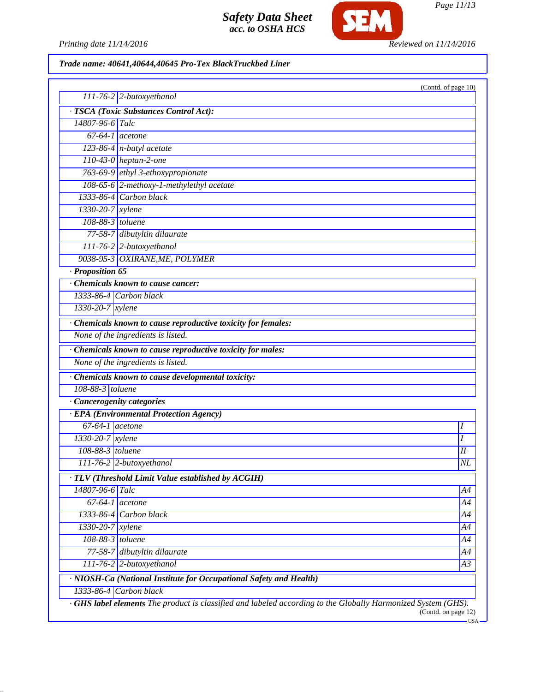

SEM

# *Trade name: 40641,40644,40645 Pro-Tex BlackTruckbed Liner*

|                              | $111-76-2$ 2-butoxyethanol                                         | (Contd. of page 10) |
|------------------------------|--------------------------------------------------------------------|---------------------|
|                              | · TSCA (Toxic Substances Control Act):                             |                     |
| 14807-96-6 Talc              |                                                                    |                     |
| $\overline{67-64-1}$ acetone |                                                                    |                     |
|                              | $123-86-4$ n-butyl acetate                                         |                     |
|                              | 110-43-0 heptan-2-one                                              |                     |
|                              | 763-69-9 ethyl 3-ethoxypropionate                                  |                     |
|                              | 108-65-6 2-methoxy-1-methylethyl acetate                           |                     |
|                              | $1333-86-4$ Carbon black                                           |                     |
| 1330-20-7 xylene             |                                                                    |                     |
| 108-88-3 toluene             |                                                                    |                     |
|                              | 77-58-7 dibutyltin dilaurate                                       |                     |
|                              | 111-76-2 2-butoxyethanol                                           |                     |
|                              | 9038-95-3 OXIRANE, ME, POLYMER                                     |                     |
| $\cdot$ Proposition 65       |                                                                    |                     |
|                              | Chemicals known to cause cancer:                                   |                     |
|                              | $1333-86-4$ Carbon black                                           |                     |
| 1330-20-7 xylene             |                                                                    |                     |
|                              | · Chemicals known to cause reproductive toxicity for females:      |                     |
|                              | None of the ingredients is listed.                                 |                     |
|                              | Chemicals known to cause reproductive toxicity for males:          |                     |
|                              | None of the ingredients is listed.                                 |                     |
|                              | · Chemicals known to cause developmental toxicity:                 |                     |
| 108-88-3 toluene             |                                                                    |                     |
|                              | · Cancerogenity categories                                         |                     |
|                              | · EPA (Environmental Protection Agency)                            |                     |
| $67-64-1$ acetone            |                                                                    | Ι                   |
| $1330 - 20 - 7$ xylene       |                                                                    | I                   |
| 108-88-3 toluene             |                                                                    | I                   |
|                              | $111-76-2$ 2-butoxyethanol                                         | NL                  |
|                              | · TLV (Threshold Limit Value established by ACGIH)                 |                     |
| 14807-96-6 Talc              |                                                                    | A4                  |
| $67-64-1$                    | acetone                                                            | A4                  |
|                              | $1333-86-4$ Carbon black                                           | A4                  |
| $1330 - 20 - 7$ xylene       |                                                                    | A4                  |
| 108-88-3 toluene             |                                                                    | A4                  |
|                              | 77-58-7 dibutyltin dilaurate                                       | A4                  |
|                              | $111-76-2$ 2-butoxyethanol                                         | A3                  |
|                              | · NIOSH-Ca (National Institute for Occupational Safety and Health) |                     |
|                              |                                                                    |                     |

*Page 11/13*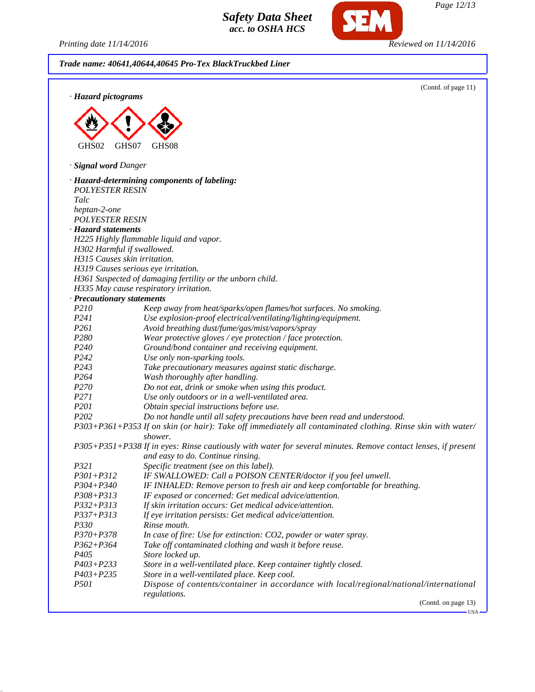Printing date 11/14/2016

SEM

*Page 12/13*

| Trade name: 40641,40644,40645 Pro-Tex BlackTruckbed Liner |                                                                                                               |  |
|-----------------------------------------------------------|---------------------------------------------------------------------------------------------------------------|--|
| · Hazard pictograms                                       | (Contd. of page 11)                                                                                           |  |
|                                                           |                                                                                                               |  |
|                                                           |                                                                                                               |  |
|                                                           |                                                                                                               |  |
|                                                           |                                                                                                               |  |
| GHS02                                                     | GHS07<br>GHS08                                                                                                |  |
| · Signal word Danger                                      |                                                                                                               |  |
|                                                           | · Hazard-determining components of labeling:                                                                  |  |
| <b>POLYESTER RESIN</b>                                    |                                                                                                               |  |
| Talc                                                      |                                                                                                               |  |
| heptan-2-one                                              |                                                                                                               |  |
| <b>POLYESTER RESIN</b>                                    |                                                                                                               |  |
| · Hazard statements                                       |                                                                                                               |  |
|                                                           | H225 Highly flammable liquid and vapor.                                                                       |  |
| H302 Harmful if swallowed.                                |                                                                                                               |  |
| H315 Causes skin irritation.                              |                                                                                                               |  |
|                                                           | H319 Causes serious eye irritation.                                                                           |  |
|                                                           | H361 Suspected of damaging fertility or the unborn child.                                                     |  |
|                                                           | H335 May cause respiratory irritation.                                                                        |  |
| · Precautionary statements                                |                                                                                                               |  |
| P210                                                      | Keep away from heat/sparks/open flames/hot surfaces. No smoking.                                              |  |
| P241                                                      | Use explosion-proof electrical/ventilating/lighting/equipment.                                                |  |
| P <sub>261</sub>                                          | Avoid breathing dust/fume/gas/mist/vapors/spray                                                               |  |
| P <sub>280</sub>                                          | Wear protective gloves / eye protection / face protection.                                                    |  |
| P <sub>240</sub>                                          | Ground/bond container and receiving equipment.                                                                |  |
| P242                                                      | Use only non-sparking tools.                                                                                  |  |
| P243                                                      | Take precautionary measures against static discharge.                                                         |  |
| P <sub>264</sub>                                          | Wash thoroughly after handling.                                                                               |  |
| P <sub>270</sub>                                          | Do not eat, drink or smoke when using this product.                                                           |  |
| P271                                                      | Use only outdoors or in a well-ventilated area.                                                               |  |
| P201                                                      | Obtain special instructions before use.                                                                       |  |
| P <sub>202</sub>                                          | Do not handle until all safety precautions have been read and understood.                                     |  |
|                                                           | P303+P361+P353 If on skin (or hair): Take off immediately all contaminated clothing. Rinse skin with water/   |  |
|                                                           | shower.                                                                                                       |  |
|                                                           | P305+P351+P338 If in eyes: Rinse cautiously with water for several minutes. Remove contact lenses, if present |  |
|                                                           | and easy to do. Continue rinsing.                                                                             |  |
| P321                                                      | Specific treatment (see on this label).                                                                       |  |
| $P301 + P312$                                             | IF SWALLOWED: Call a POISON CENTER/doctor if you feel unwell.                                                 |  |
| $P304 + P340$                                             | IF INHALED: Remove person to fresh air and keep comfortable for breathing.                                    |  |
| $P308 + P313$                                             | IF exposed or concerned: Get medical advice/attention.                                                        |  |
| $P332 + P313$                                             | If skin irritation occurs: Get medical advice/attention.                                                      |  |
| $P337 + P313$                                             | If eye irritation persists: Get medical advice/attention.                                                     |  |
| <i>P330</i>                                               | Rinse mouth.                                                                                                  |  |
| $P370 + P378$                                             | In case of fire: Use for extinction: CO2, powder or water spray.                                              |  |
| $P362 + P364$                                             | Take off contaminated clothing and wash it before reuse.                                                      |  |
| P <sub>405</sub>                                          | Store locked up.                                                                                              |  |
| $P403 + P233$                                             | Store in a well-ventilated place. Keep container tightly closed.                                              |  |
| $P403 + P235$                                             | Store in a well-ventilated place. Keep cool.                                                                  |  |
| <i>P501</i>                                               | Dispose of contents/container in accordance with local/regional/national/international                        |  |
|                                                           | regulations.                                                                                                  |  |
|                                                           | (Contd. on page 13)                                                                                           |  |

USA